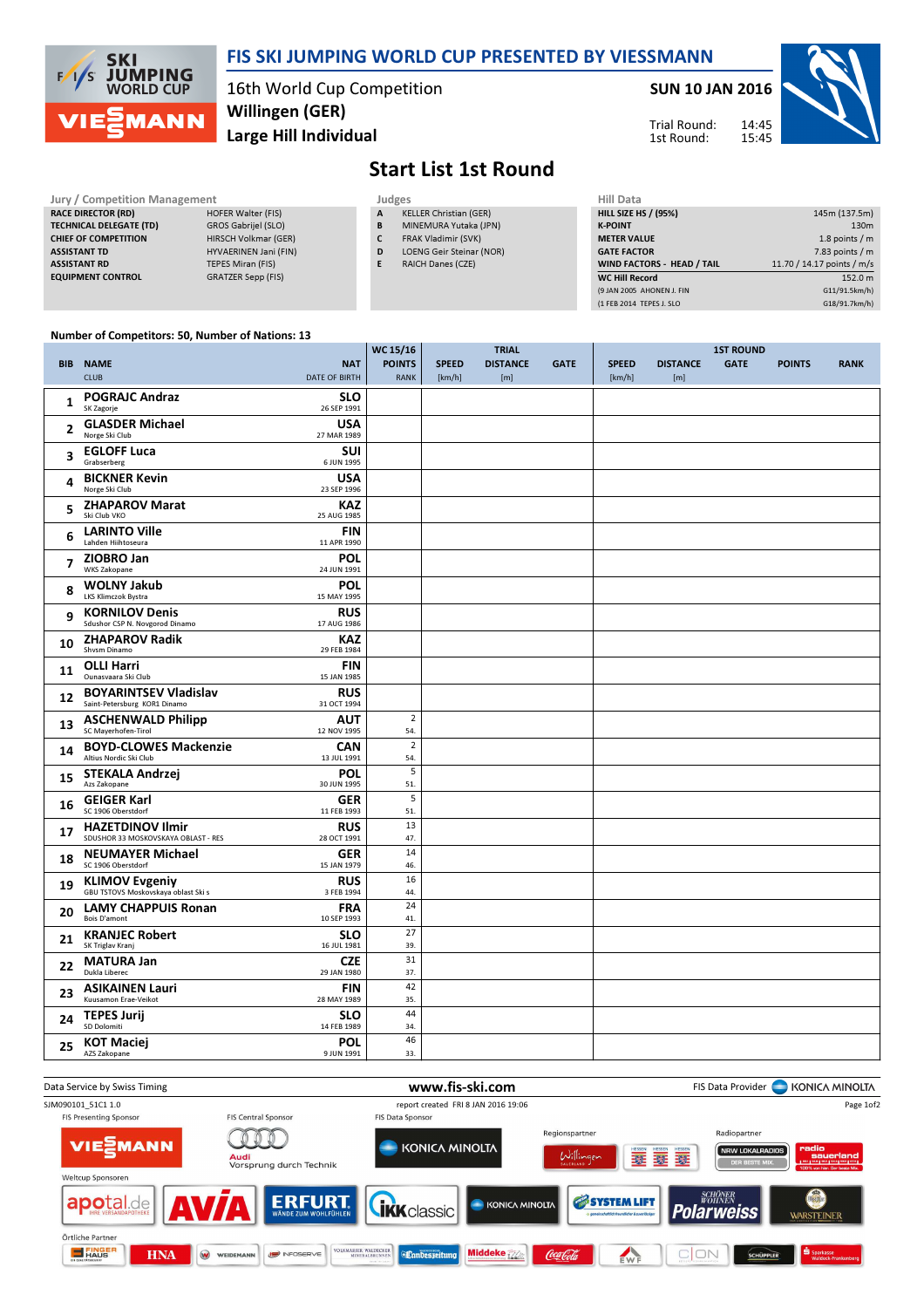

## FIS SKI JUMPING WORLD CUP PRESENTED BY VIESSMANN

16th World Cup Competition Large Hill Individual Willingen (GER)

SUN 10 JAN 2016



Trial Round: 1st Round:

# Start List 1st Round

#### Jury / Competition Management Judges<br>
RACE DIRECTOR (RD) HOFER Walter (FIS) A KE RACE DIRECTOR (RD) TECHNICAL DELEGATE (TD) GROS Gabrijel (SLO) CHIEF OF COMPETITION HIRSCH Volkmar (GER) ASSISTANT TD HYVAERINEN Jani (FIN) ASSISTANT RD TEPES Miran (FIS) EQUIPMENT CONTROL GRATZER Sepp (FIS)

- KELLER Christian (GER) B MINEMURA Yutaka (JPN)
- C FRAK Vladimir (SVK)
- D LOENG Geir Steinar (NOR)
- E RAICH Danes (CZE)

| Hill Data                   |                            |
|-----------------------------|----------------------------|
| <b>HILL SIZE HS / (95%)</b> | 145m (137.5m)              |
| <b>K-POINT</b>              | 130 <sub>m</sub>           |
| <b>METER VALUE</b>          | 1.8 points $/m$            |
| <b>GATE FACTOR</b>          | $7.83$ points / m          |
| WIND FACTORS - HEAD / TAIL  | 11.70 / 14.17 points / m/s |
| <b>WC Hill Record</b>       | 152.0 m                    |
| (9 JAN 2005 AHONEN J. FIN   | G11/91.5km/h)              |
| (1 FEB 2014 TEPES J. SLO    | G18/91.7km/h)              |
|                             |                            |

### Number of Competitors: 50, Number of Nations: 13

|    |                                                                |                                    | WC 15/16                     |                        | <b>TRIAL</b>           |             |                        | <b>1ST ROUND</b>       |             |               |             |
|----|----------------------------------------------------------------|------------------------------------|------------------------------|------------------------|------------------------|-------------|------------------------|------------------------|-------------|---------------|-------------|
|    | <b>BIB NAME</b><br><b>CLUB</b>                                 | <b>NAT</b><br><b>DATE OF BIRTH</b> | <b>POINTS</b><br><b>RANK</b> | <b>SPEED</b><br>[km/h] | <b>DISTANCE</b><br>[m] | <b>GATE</b> | <b>SPEED</b><br>[km/h] | <b>DISTANCE</b><br>[m] | <b>GATE</b> | <b>POINTS</b> | <b>RANK</b> |
| 1  | <b>POGRAJC Andraz</b><br>SK Zagorje                            | <b>SLO</b><br>26 SEP 1991          |                              |                        |                        |             |                        |                        |             |               |             |
| 2  | <b>GLASDER Michael</b><br>Norge Ski Club                       | <b>USA</b><br>27 MAR 1989          |                              |                        |                        |             |                        |                        |             |               |             |
| 3  | <b>EGLOFF Luca</b><br>Grabserberg                              | <b>SUI</b><br>6 JUN 1995           |                              |                        |                        |             |                        |                        |             |               |             |
| 4  | <b>BICKNER Kevin</b><br>Norge Ski Club                         | <b>USA</b><br>23 SEP 1996          |                              |                        |                        |             |                        |                        |             |               |             |
| 5. | <b>ZHAPAROV Marat</b><br>Ski Club VKO                          | <b>KAZ</b><br>25 AUG 1985          |                              |                        |                        |             |                        |                        |             |               |             |
| 6  | <b>LARINTO Ville</b><br>Lahden Hiihtoseura                     | <b>FIN</b><br>11 APR 1990          |                              |                        |                        |             |                        |                        |             |               |             |
| 7  | ZIOBRO Jan<br>WKS Zakopane                                     | <b>POL</b><br>24 JUN 1991          |                              |                        |                        |             |                        |                        |             |               |             |
| 8  | <b>WOLNY Jakub</b><br>LKS Klimczok Bystra                      | <b>POL</b><br>15 MAY 1995          |                              |                        |                        |             |                        |                        |             |               |             |
| 9  | <b>KORNILOV Denis</b><br>Sdushor CSP N. Novgorod Dinamo        | <b>RUS</b><br>17 AUG 1986          |                              |                        |                        |             |                        |                        |             |               |             |
| 10 | <b>ZHAPAROV Radik</b><br>Shvsm Dinamo                          | <b>KAZ</b><br>29 FEB 1984          |                              |                        |                        |             |                        |                        |             |               |             |
| 11 | <b>OLLI Harri</b><br>Ounasyaara Ski Club                       | <b>FIN</b><br>15 JAN 1985          |                              |                        |                        |             |                        |                        |             |               |             |
| 12 | <b>BOYARINTSEV Vladislav</b><br>Saint-Petersburg KOR1 Dinamo   | <b>RUS</b><br>31 OCT 1994          |                              |                        |                        |             |                        |                        |             |               |             |
| 13 | <b>ASCHENWALD Philipp</b><br>SC Mayerhofen-Tirol               | <b>AUT</b><br>12 NOV 1995          | $\overline{2}$<br>54.        |                        |                        |             |                        |                        |             |               |             |
| 14 | <b>BOYD-CLOWES Mackenzie</b><br>Altius Nordic Ski Club         | <b>CAN</b><br>13 JUL 1991          | $\overline{2}$<br>54.        |                        |                        |             |                        |                        |             |               |             |
| 15 | STEKALA Andrzej<br>Azs Zakopane                                | POL<br>30 JUN 1995                 | 5<br>51.                     |                        |                        |             |                        |                        |             |               |             |
| 16 | <b>GEIGER Karl</b><br>SC 1906 Oberstdorf                       | <b>GER</b><br>11 FEB 1993          | 5<br>51.                     |                        |                        |             |                        |                        |             |               |             |
| 17 | <b>HAZETDINOV Ilmir</b><br>SDUSHOR 33 MOSKOVSKAYA OBLAST - RES | <b>RUS</b><br>28 OCT 1991          | 13<br>47.                    |                        |                        |             |                        |                        |             |               |             |
| 18 | <b>NEUMAYER Michael</b><br>SC 1906 Oberstdorf                  | <b>GER</b><br>15 JAN 1979          | 14<br>46.                    |                        |                        |             |                        |                        |             |               |             |
| 19 | <b>KLIMOV Evgeniy</b><br>GBU TSTOVS Moskovskaya oblast Ski s   | <b>RUS</b><br>3 FEB 1994           | 16<br>44.                    |                        |                        |             |                        |                        |             |               |             |
| 20 | <b>LAMY CHAPPUIS Ronan</b><br>Bois D'amont                     | <b>FRA</b><br>10 SEP 1993          | 24<br>41.                    |                        |                        |             |                        |                        |             |               |             |
| 21 | <b>KRANJEC Robert</b><br>SK Triglav Kranj                      | <b>SLO</b><br>16 JUL 1981          | 27<br>39.                    |                        |                        |             |                        |                        |             |               |             |
| 22 | <b>MATURA Jan</b><br>Dukla Liberec                             | <b>CZE</b><br>29 JAN 1980          | 31<br>37.                    |                        |                        |             |                        |                        |             |               |             |
| 23 | <b>ASIKAINEN Lauri</b><br>Kuusamon Erae-Veikot                 | <b>FIN</b><br>28 MAY 1989          | 42<br>35.                    |                        |                        |             |                        |                        |             |               |             |
| 24 | <b>TEPES Jurij</b><br>SD Dolomiti                              | <b>SLO</b><br>14 FEB 1989          | 44<br>34.                    |                        |                        |             |                        |                        |             |               |             |
| 25 | <b>KOT Maciej</b><br>AZS Zakopane                              | <b>POL</b><br>9 JUN 1991           | 46<br>33.                    |                        |                        |             |                        |                        |             |               |             |